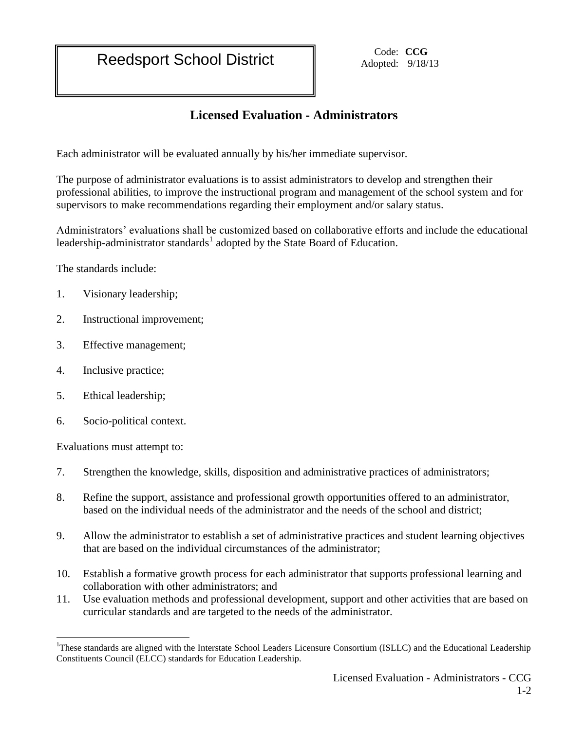Reedsport School District **Code:** Code: CCG

Adopted: 9/18/13

## **Licensed Evaluation - Administrators**

Each administrator will be evaluated annually by his/her immediate supervisor.

The purpose of administrator evaluations is to assist administrators to develop and strengthen their professional abilities, to improve the instructional program and management of the school system and for supervisors to make recommendations regarding their employment and/or salary status.

Administrators' evaluations shall be customized based on collaborative efforts and include the educational leadership-administrator standards<sup>1</sup> adopted by the State Board of Education.

The standards include:

- 1. Visionary leadership;
- 2. Instructional improvement;
- 3. Effective management;
- 4. Inclusive practice;
- 5. Ethical leadership;
- 6. Socio-political context.

Evaluations must attempt to:

 $\overline{a}$ 

- 7. Strengthen the knowledge, skills, disposition and administrative practices of administrators;
- 8. Refine the support, assistance and professional growth opportunities offered to an administrator, based on the individual needs of the administrator and the needs of the school and district;
- 9. Allow the administrator to establish a set of administrative practices and student learning objectives that are based on the individual circumstances of the administrator;
- 10. Establish a formative growth process for each administrator that supports professional learning and collaboration with other administrators; and
- 11. Use evaluation methods and professional development, support and other activities that are based on curricular standards and are targeted to the needs of the administrator.

<sup>&</sup>lt;sup>1</sup>These standards are aligned with the Interstate School Leaders Licensure Consortium (ISLLC) and the Educational Leadership Constituents Council (ELCC) standards for Education Leadership.